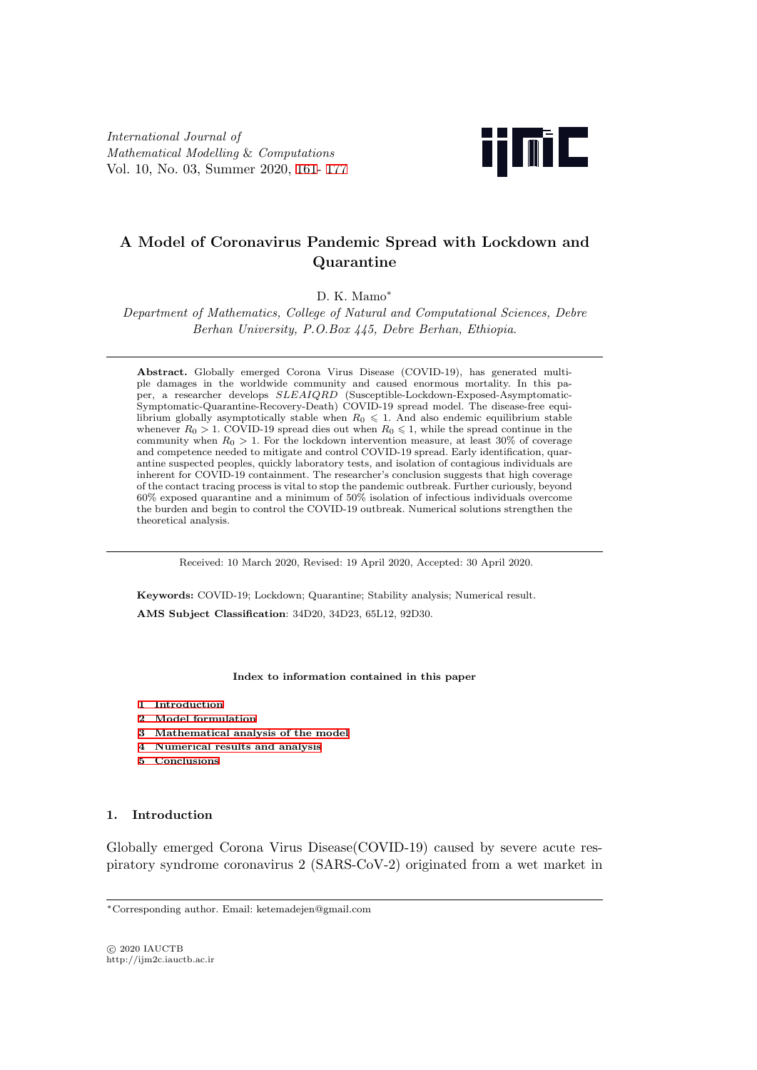*International Journal of Mathematical Modelling* & *Computations* Vol. 10, No. 03, Summer 2020, 161- 177



# **A Model of Coronaviru[s P](#page-0-0)a[nde](#page-16-0)mic Spread with Lockdown and Quarantine**

D. K. Mamo*∗*

*Department of Mathematics, College of Natural and Computational Sciences, Debre Berhan University, P.O.Box 445, Debre Berhan, Ethiopia*.

**Abstract.** Globally emerged Corona Virus Disease (COVID-19), has generated multiple damages in the worldwide community and caused enormous mortality. In this paper, a researcher develops *SLEAIQRD* (Susceptible-Lockdown-Exposed-Asymptomatic-Symptomatic-Quarantine-Recovery-Death) COVID-19 spread model. The disease-free equilibrium globally asymptotically stable when  $R_0 \leq 1$ . And also endemic equilibrium stable whenever  $R_0 > 1$ . COVID-19 spread dies out when  $R_0 \le 1$ , while the spread continue in the community when  $R_0 > 1$ . For the lockdown intervention measure, at least 30% of coverage and competence needed to mitigate and control COVID-19 spread. Early identification, quarantine suspected peoples, quickly laboratory tests, and isolation of contagious individuals are inherent for COVID-19 containment. The researcher's conclusion suggests that high coverage of the contact tracing process is vital to stop the pandemic outbreak. Further curiously, beyond  $60\%$  exposed quarantine and a minimum of  $50\%$  isolation of infectious individuals overcome the burden and begin to control the COVID-19 outbreak. Numerical solutions strengthen the theoretical analysis.

Received: 10 March 2020, Revised: 19 April 2020, Accepted: 30 April 2020.

**Keywords:** COVID-19; Lockdown; Quarantine; Stability analysis; Numerical result. **AMS Subject Classification**: 34D20, 34D23, 65L12, 92D30.

#### **Index to information contained in this paper**

- **1 Introduction**
- **2 Model formulation**
- <span id="page-0-0"></span>**3 Mathematical analysis of the model**
- **4 Numerical results and analysis**
- **[5 Conclusions](#page-0-1)**

#### **1. I[ntroduction](#page-9-0)**

<span id="page-0-1"></span>Globally emerged Corona Virus Disease(COVID-19) caused by severe acute respiratory syndrome coronavirus 2 (SARS-CoV-2) originated from a wet market in

*⃝*c 2020 IAUCTB http://ijm2c.iauctb.ac.ir

*<sup>∗</sup>*Corresponding author. Email: ketemadejen@gmail.com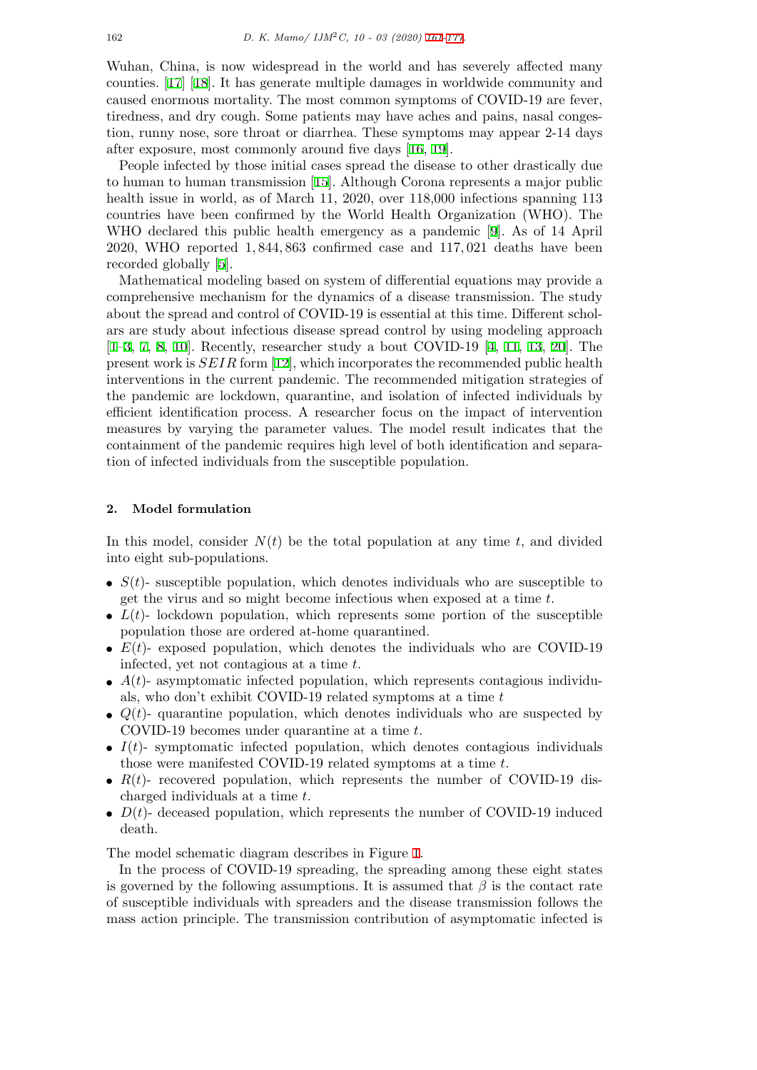Wuhan, China, is now widespread in the world and has severely affected many counties. [17] [18]. It has generate multiple damages in worldwide community and caused enormous mortality. The most common sym[pto](#page-0-0)[ms o](#page-16-0)f COVID-19 are fever, tiredness, and dry cough. Some patients may have aches and pains, nasal congestion, runny nose, sore throat or diarrhea. These symptoms may appear 2-14 days after expo[sur](#page-16-1)e[, m](#page-16-2)ost commonly around five days [16, 19].

People infected by those initial cases spread the disease to other drastically due to human to human transmission [15]. Although Corona represents a major public health issue in world, as of March 11, 2020, over 118,000 infections spanning 113 countries have been confirmed by the World He[alth](#page-16-3) [O](#page-16-4)rganization (WHO). The WHO declared this public health emergency as a pandemic [9]. As of 14 April 2020, WHO reported 1*,* 844*,* 863 [con](#page-15-1)firmed case and 117*,* 021 deaths have been recorded globally [5].

Mathematical modeling based on system of differential equations may provide a comprehensive mechanism for the dynamics of a disease trans[m](#page-15-2)ission. The study about the spread and control of COVID-19 is essential at this time. Different scholars are study abo[ut](#page-15-3) infectious disease spread control by using modeling approach [1–3, 7, 8, 10]. Recently, researcher study a bout COVID-19 [4, 11, 13, 20]. The present work is *SEIR* form [12], which incorporates the recommended public health interventions in the current pandemic. The recommended mitigation strategies of the pandemic are lockdown, quarantine, and isolation of infected individuals by [effi](#page-15-4)[ci](#page-15-5)e[n](#page-15-6)t [id](#page-15-7)[ent](#page-15-8)ification process. A researcher focus on the imp[a](#page-15-9)c[t o](#page-15-10)f [int](#page-15-11)[erve](#page-16-5)ntion measures by varying the p[ara](#page-15-12)meter values. The model result indicates that the containment of the pandemic requires high level of both identification and separation of infected individuals from the susceptible population.

## **2. Model formulation**

In this model, consider  $N(t)$  be the total population at any time  $t$ , and divided into eight sub-populations.

- $S(t)$  susceptible population, which denotes individuals who are susceptible to get the virus and so might become infectious when exposed at a time *t*.
- $L(t)$  lockdown population, which represents some portion of the susceptible population those are ordered at-home quarantined.
- $E(t)$  exposed population, which denotes the individuals who are COVID-19 infected, yet not contagious at a time *t*.
- $A(t)$  asymptomatic infected population, which represents contagious individuals, who don't exhibit COVID-19 related symptoms at a time *t*
- $Q(t)$  quarantine population, which denotes individuals who are suspected by COVID-19 becomes under quarantine at a time *t*.
- $I(t)$  symptomatic infected population, which denotes contagious individuals those were manifested COVID-19 related symptoms at a time *t*.
- $R(t)$  recovered population, which represents the number of COVID-19 discharged individuals at a time *t*.
- $D(t)$  deceased population, which represents the number of COVID-19 induced death.

The model schematic diagram describes in Figure 1.

In the process of COVID-19 spreading, the spreading among these eight states is governed by the following assumptions. It is assumed that  $\beta$  is the contact rate of susceptible individuals with spreaders and the disease transmission follows the mass action principle. The transmission contribut[io](#page-2-0)n of asymptomatic infected is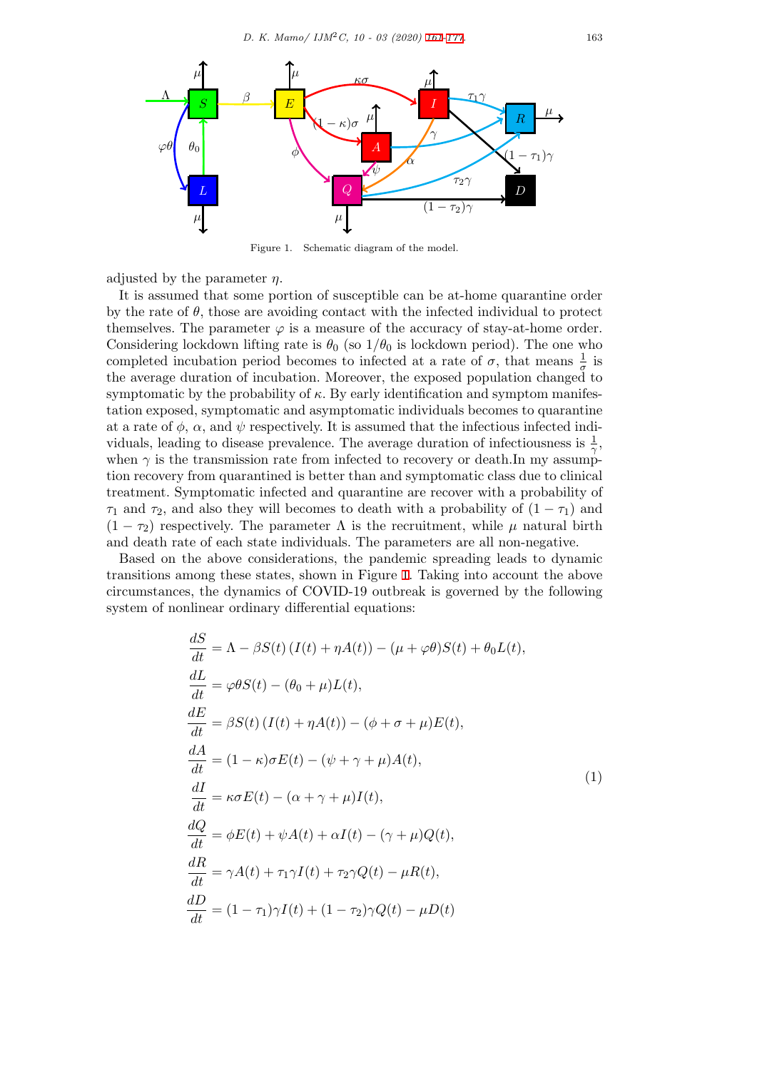<span id="page-2-0"></span>

Figure 1. Schematic diagram of the model.

adjusted by the parameter *η*.

It is assumed that some portion of susceptible can be at-home quarantine order by the rate of  $\theta$ , those are avoiding contact with the infected individual to protect themselves. The parameter  $\varphi$  is a measure of the accuracy of stay-at-home order. Considering lockdown lifting rate is  $\theta_0$  (so  $1/\theta_0$  is lockdown period). The one who completed incubation period becomes to infected at a rate of  $\sigma$ , that means  $\frac{1}{\sigma}$  is the average duration of incubation. Moreover, the exposed population changed to symptomatic by the probability of  $\kappa$ . By early identification and symptom manifestation exposed, symptomatic and asymptomatic individuals becomes to quarantine at a rate of  $\phi$ ,  $\alpha$ , and  $\psi$  respectively. It is assumed that the infectious infected individuals, leading to disease prevalence. The average duration of infectiousness is  $\frac{1}{\gamma}$ , when  $\gamma$  is the transmission rate from infected to recovery or death.In my assumption recovery from quarantined is better than and symptomatic class due to clinical treatment. Symptomatic infected and quarantine are recover with a probability of *τ*<sub>1</sub> and *τ*<sub>2</sub>, and also they will becomes to death with a probability of  $(1 - \tau_1)$  and  $(1 - \tau_2)$  respectively. The parameter  $\Lambda$  is the recruitment, while  $\mu$  natural birth and death rate of each state individuals. The parameters are all non-negative.

Based on the above considerations, the pandemic spreading leads to dynamic transitions among these states, shown in Figure 1. Taking into account the above circumstances, the dynamics of COVID-19 outbreak is governed by the following system of nonlinear ordinary differential equations:

<span id="page-2-1"></span>
$$
\frac{dS}{dt} = \Lambda - \beta S(t) (I(t) + \eta A(t)) - (\mu + \varphi \theta) S(t) + \theta_0 L(t),
$$
\n
$$
\frac{dL}{dt} = \varphi \theta S(t) - (\theta_0 + \mu) L(t),
$$
\n
$$
\frac{dE}{dt} = \beta S(t) (I(t) + \eta A(t)) - (\phi + \sigma + \mu) E(t),
$$
\n
$$
\frac{dA}{dt} = (1 - \kappa) \sigma E(t) - (\psi + \gamma + \mu) A(t),
$$
\n
$$
\frac{dI}{dt} = \kappa \sigma E(t) - (\alpha + \gamma + \mu) I(t),
$$
\n
$$
\frac{dQ}{dt} = \phi E(t) + \psi A(t) + \alpha I(t) - (\gamma + \mu) Q(t),
$$
\n
$$
\frac{dR}{dt} = \gamma A(t) + \tau_1 \gamma I(t) + \tau_2 \gamma Q(t) - \mu R(t),
$$
\n
$$
\frac{dD}{dt} = (1 - \tau_1) \gamma I(t) + (1 - \tau_2) \gamma Q(t) - \mu D(t)
$$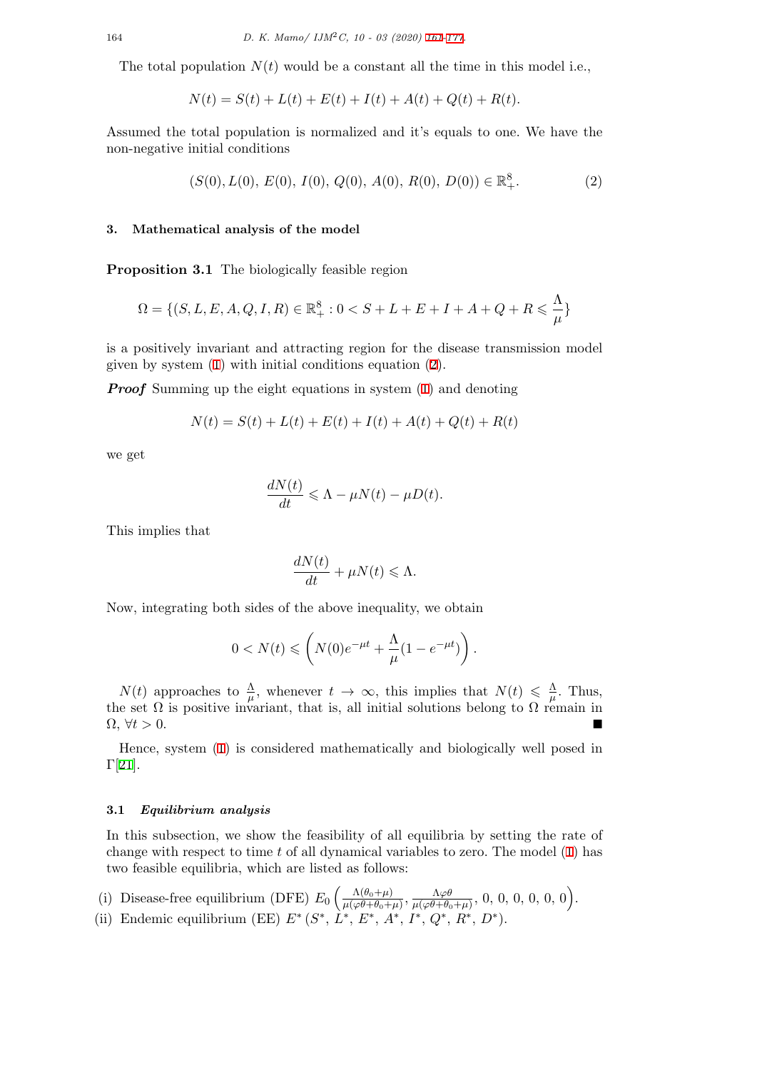The total population *N*(*t*) would be a constant all the time in this model i.e.,

$$
N(t) = S(t) + L(t) + E(t) + I(t) + A(t) + Q(t) + R(t).
$$

Assumed the total population is normalized and it's equals to one. We have the non-negative initial conditions

<span id="page-3-0"></span>
$$
(S(0), L(0), E(0), I(0), Q(0), A(0), R(0), D(0)) \in \mathbb{R}^{8}_{+}.
$$
 (2)

#### **3. Mathematical analysis of the model**

**Proposition 3.1** The biologically feasible region

$$
\Omega = \{ (S, L, E, A, Q, I, R) \in \mathbb{R}_+^8 : 0 < S + L + E + I + A + Q + R \leq \frac{\Lambda}{\mu} \}
$$

is a positively invariant and attracting region for the disease transmission model given by system (1) with initial conditions equation (2).

*Proof* Summing up the eight equations in system (1) and denoting

$$
N(t) = S(t) + L(t) + E(t) + I(t) + A(t) + Q(t) + R(t)
$$

we get

$$
\frac{dN(t)}{dt} \leqslant \Lambda - \mu N(t) - \mu D(t).
$$

This implies that

$$
\frac{dN(t)}{dt} + \mu N(t) \le \Lambda.
$$

Now, integrating both sides of the above inequality, we obtain

$$
0 < N(t) \leqslant \left( N(0)e^{-\mu t} + \frac{\Lambda}{\mu} (1 - e^{-\mu t}) \right).
$$

 $N(t)$  approaches to  $\frac{\Lambda}{\mu}$ , whenever  $t \to \infty$ , this implies that  $N(t) \leq \frac{\Lambda}{\mu}$  $\frac{\Lambda}{\mu}$ . Thus, the set  $\Omega$  is positive invariant, that is, all initial solutions belong to  $\Omega$  remain in  $\Omega, \forall t > 0.$ 

Hence, system (1) is considered mathematically and biologically well posed in  $\Gamma[21]$ .

#### **3.1** *Equilibrium [a](#page-2-1)nalysis*

In [th](#page-16-6)is subsection, we show the feasibility of all equilibria by setting the rate of change with respect to time *t* of all dynamical variables to zero. The model (1) has two feasible equilibria, which are listed as follows:

- (i) Disease-free equilibrium (DFE)  $E_0 \left( \frac{\Lambda(\theta_0+\mu)}{\mu(\omega\theta+\theta_0+\mu)} \right)$  $\frac{\Lambda(\theta_0+\mu)}{\mu(\varphi\theta+\theta_0+\mu)},\frac{\Lambda\varphi\theta}{\mu(\varphi\theta+\theta_0+\mu)}$  $\frac{\Lambda\varphi\theta}{\mu(\varphi\theta+\theta_0+\mu)}, 0, 0, 0, 0, 0, 0).$
- (ii) Endemic equilibrium (EE)  $E^*(S^*, L^*, E^*, A^*, I^*, Q^*, R^*, D^*).$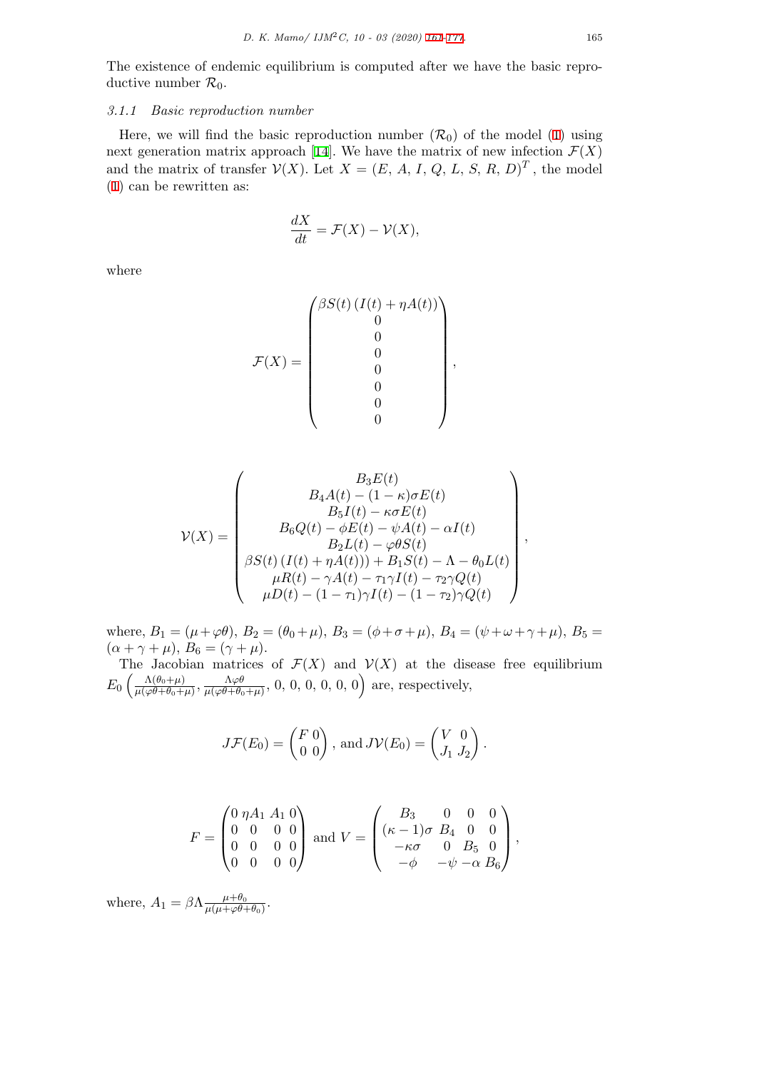The existence of endemic equilibrium is computed after we have the basic reproductive number  $\mathcal{R}_0$ .

# *3.1.1 Basic reproduction number*

Here, we will find the basic reproduction number  $(\mathcal{R}_0)$  of the model (1) using next generation matrix approach [14]. We have the matrix of new infection  $\mathcal{F}(X)$ and the matrix of transfer  $V(X)$ . Let  $X = (E, A, I, Q, L, S, R, D)^T$ , the model (1) can be rewritten as:

$$
\frac{dX}{dt} = \mathcal{F}(X) - \mathcal{V}(X),
$$

where

$$
\mathcal{F}(X) = \begin{pmatrix} \beta S(t) (I(t) + \eta A(t)) \\ 0 \\ 0 \\ 0 \\ 0 \\ 0 \\ 0 \\ 0 \end{pmatrix}
$$

*,*

$$
\mathcal{V}(X) = \begin{pmatrix} B_3E(t) \\ B_4A(t) - (1 - \kappa)\sigma E(t) \\ B_5I(t) - \kappa\sigma E(t) \\ B_6Q(t) - \phi E(t) - \psi A(t) - \alpha I(t) \\ B_2L(t) - \varphi \theta S(t) \\ \beta S(t) (I(t) + \eta A(t))) + B_1S(t) - \Lambda - \theta_0 L(t) \\ \mu R(t) - \gamma A(t) - \tau_1 \gamma I(t) - \tau_2 \gamma Q(t) \\ \mu D(t) - (1 - \tau_1) \gamma I(t) - (1 - \tau_2) \gamma Q(t) \end{pmatrix},
$$

where,  $B_1 = (\mu + \varphi \theta)$ ,  $B_2 = (\theta_0 + \mu)$ ,  $B_3 = (\phi + \sigma + \mu)$ ,  $B_4 = (\psi + \omega + \gamma + \mu)$ ,  $B_5 =$  $(\alpha + \gamma + \mu), B_6 = (\gamma + \mu).$ 

The Jacobian matrices of  $\mathcal{F}(X)$  and  $\mathcal{V}(X)$  at the disease free equilibrium  $E_0 \left( \frac{\Lambda(\theta_0+\mu)}{\mu(\omega\theta+\theta_0+\mu)} \right)$  $\frac{\Lambda(\theta_0+\mu)}{\mu(\varphi\theta+\theta_0+\mu)},\frac{\Lambda\varphi\theta}{\mu(\varphi\theta+\theta_0)}$  $\frac{\Lambda \varphi \theta}{\mu(\varphi \theta + \theta_0 + \mu)}, 0, 0, 0, 0, 0, 0)$  are, respectively,

$$
J\mathcal{F}(E_0) = \begin{pmatrix} F & 0 \\ 0 & 0 \end{pmatrix}, \text{ and } J\mathcal{V}(E_0) = \begin{pmatrix} V & 0 \\ J_1 & J_2 \end{pmatrix}.
$$

$$
F = \begin{pmatrix} 0 & \eta A_1 & A_1 & 0 \\ 0 & 0 & 0 & 0 \\ 0 & 0 & 0 & 0 \\ 0 & 0 & 0 & 0 \end{pmatrix} \text{ and } V = \begin{pmatrix} B_3 & 0 & 0 & 0 \\ (\kappa - 1)\sigma & B_4 & 0 & 0 \\ -\kappa\sigma & 0 & B_5 & 0 \\ -\phi & -\psi - \alpha & B_6 \end{pmatrix},
$$

where,  $A_1 = \beta \Lambda \frac{\mu + \theta_0}{\mu \mu + \varphi \theta_0}$  $\frac{\mu+\theta_0}{\mu(\mu+\varphi\theta+\theta_0)}$ .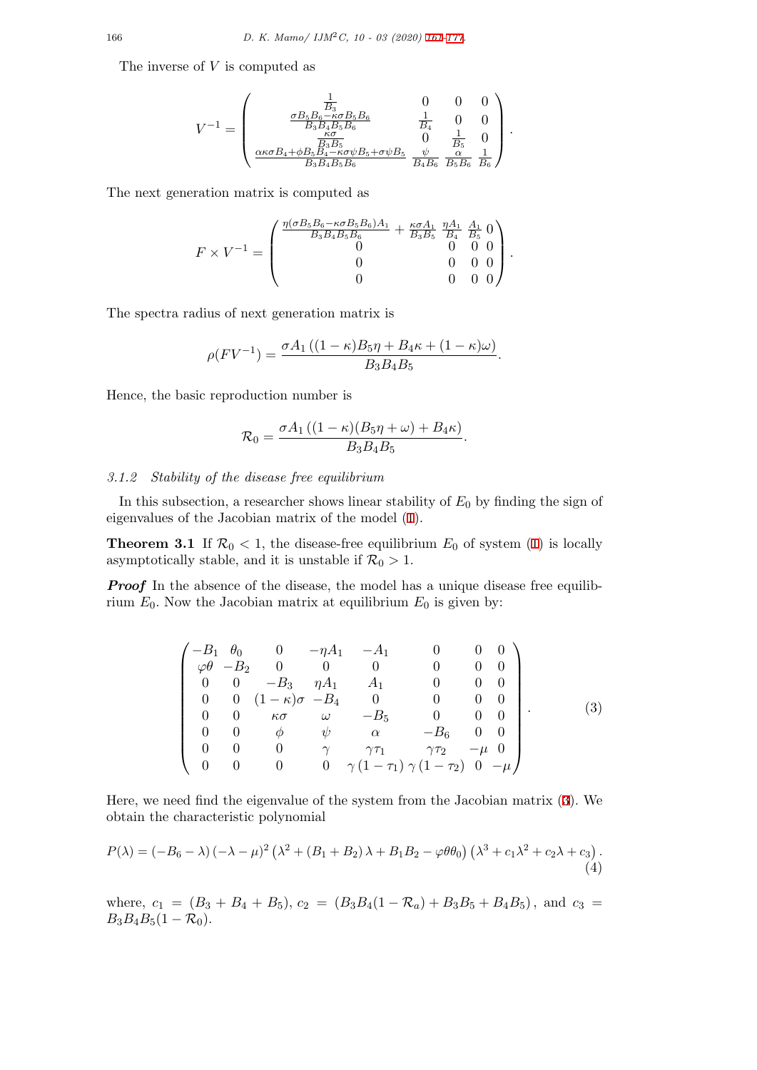The inverse of *V* is computed as

$$
V^{-1} = \begin{pmatrix} \frac{1}{B_3} & 0 & 0 & 0 \\ \frac{\sigma B_5 B_6 - \kappa \sigma B_5 B_6}{B_3 B_4 B_5 B_6} & \frac{1}{B_4} & 0 & 0 \\ \frac{\kappa \sigma}{B_3 B_4 B_5 B_6} & 0 & \frac{1}{B_5} & 0 \\ \frac{\kappa \kappa \sigma B_4 + \phi B_5 B_4 - \kappa \sigma \psi B_5 + \sigma \psi B_5}{B_3 B_4 B_5 B_6} & \frac{\psi}{B_4 B_6} & \frac{\alpha}{B_5 B_6} & \frac{1}{B_6} \end{pmatrix}.
$$

The next generation matrix is computed as

$$
F \times V^{-1} = \begin{pmatrix} \frac{\eta(\sigma B_5 B_6 - \kappa \sigma B_5 B_6) A_1}{B_3 B_4 B_5 B_6} + \frac{\kappa \sigma A_1}{B_3 B_5} \frac{\eta A_1}{B_4} & \frac{A_1}{B_5} & 0 \\ 0 & 0 & 0 & 0 \\ 0 & 0 & 0 & 0 \\ 0 & 0 & 0 & 0 \end{pmatrix}.
$$

The spectra radius of next generation matrix is

$$
\rho(FV^{-1}) = \frac{\sigma A_1 ((1 - \kappa)B_5 \eta + B_4 \kappa + (1 - \kappa)\omega)}{B_3 B_4 B_5}
$$

<span id="page-5-1"></span>*.*

Hence, the basic reproduction number is

$$
\mathcal{R}_0 = \frac{\sigma A_1 ((1 - \kappa)(B_5 \eta + \omega) + B_4 \kappa)}{B_3 B_4 B_5}.
$$

# *3.1.2 Stability of the disease free equilibrium*

In this subsection, a researcher shows linear stability of *E*<sup>0</sup> by finding the sign of eigenvalues of the Jacobian matrix of the model (1).

**Theorem 3.1** If  $\mathcal{R}_0 < 1$ , the disease-free equilibrium  $E_0$  of system (1) is locally asymptotically stable, and it is unstable if  $\mathcal{R}_0 > 1$ .

*Proof* In the absence of the disease, the model [ha](#page-2-1)s a unique disease free equilibrium  $E_0$ . Now the Jacobian matrix at equilibrium  $E_0$  is given by:

$$
\begin{pmatrix}\n-B_1 & \theta_0 & 0 & -\eta A_1 & -A_1 & 0 & 0 & 0 \\
\varphi \theta & -B_2 & 0 & 0 & 0 & 0 & 0 & 0 \\
0 & 0 & -B_3 & \eta A_1 & A_1 & 0 & 0 & 0 \\
0 & 0 & (1 - \kappa)\sigma & -B_4 & 0 & 0 & 0 & 0 \\
0 & 0 & \kappa\sigma & \omega & -B_5 & 0 & 0 & 0 \\
0 & 0 & \phi & \psi & \alpha & -B_6 & 0 & 0 \\
0 & 0 & 0 & \gamma & \gamma\tau_1 & \gamma\tau_2 & -\mu & 0 \\
0 & 0 & 0 & 0 & \gamma & (1 - \tau_1) \gamma(1 - \tau_2) & 0 & -\mu\n\end{pmatrix}.
$$
\n(3)

Here, we need find the eigenvalue of the system from the Jacobian matrix (3). We obtain the characteristic polynomial

$$
P(\lambda) = (-B_6 - \lambda) (-\lambda - \mu)^2 (\lambda^2 + (B_1 + B_2) \lambda + B_1 B_2 - \varphi \theta_0) (\lambda^3 + c_1 \lambda^2 + c_2 \lambda + c_3).
$$
\n(4)

<span id="page-5-0"></span>where, 
$$
c_1 = (B_3 + B_4 + B_5)
$$
,  $c_2 = (B_3B_4(1 - \mathcal{R}_a) + B_3B_5 + B_4B_5)$ , and  $c_3 = B_3B_4B_5(1 - \mathcal{R}_0)$ .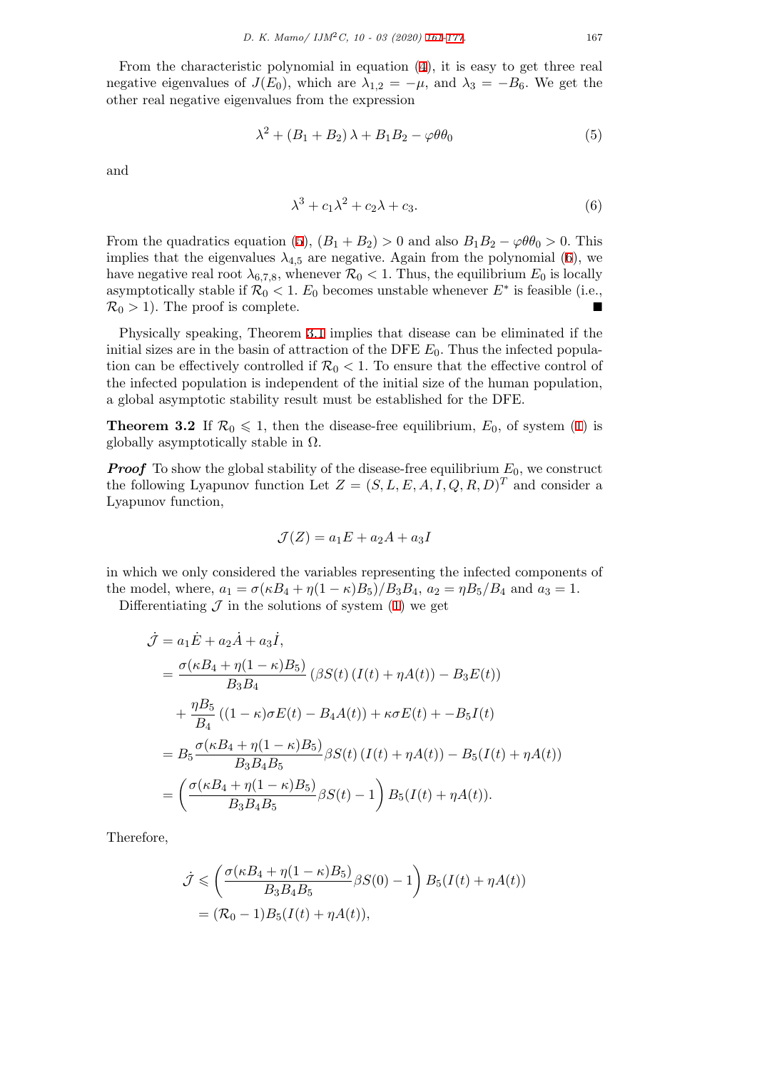From the characteristic polynomial in equation (4), it is easy to get three real negative eigenvalues of  $J(E_0)$ , which are  $\lambda_{1,2} = -\mu$ , and  $\lambda_3 = -B_6$ . We get the other real negative eigenvalues from the expression

$$
\lambda^2 + (B_1 + B_2) \lambda + B_1 B_2 - \varphi \theta \theta_0 \tag{5}
$$

and

<span id="page-6-0"></span>
$$
\lambda^3 + c_1 \lambda^2 + c_2 \lambda + c_3. \tag{6}
$$

From the quadratics equation (5),  $(B_1 + B_2) > 0$  and also  $B_1B_2 - \varphi\theta\theta_0 > 0$ . This implies that the eigenvalues  $\lambda_{4,5}$  are negative. Again from the polynomial (6), we have negative real root  $\lambda_{6,7,8}$ , whenever  $\mathcal{R}_0 < 1$ . Thus, the equilibrium  $E_0$  is locally asymptotically stable if  $\mathcal{R}_0 < 1$ .  $E_0$  becomes unstable whenever  $E^*$  is feasible (i.e.,  $\mathcal{R}_0 > 1$ )[.](#page-6-0) The proof is complete.

Physically speaking, Theorem 3.1 implies that disease can be eliminated if the initial sizes are in the basin of attraction of the DFE  $E_0$ . Thus the infected population can be effectively controlled if  $\mathcal{R}_0 < 1$ . To ensure that the effective control of the infected population is independent of the initial size of the human population, a global asymptotic stability res[ult m](#page-5-1)ust be established for the DFE.

**Theorem 3.2** If  $\mathcal{R}_0 \leq 1$ , then the disease-free equilibrium,  $E_0$ , of system (1) is globally asymptotically stable in  $\Omega$ .

*Proof* To show the global stability of the disease-free equilibrium  $E_0$ , we construct the following Lyapunov function Let  $Z = (S, L, E, A, I, Q, R, D)^T$  and consi[de](#page-2-1)r a Lyapunov function,

<span id="page-6-1"></span>
$$
\mathcal{J}(Z) = a_1 E + a_2 A + a_3 I
$$

in which we only considered the variables representing the infected components of the model, where,  $a_1 = \sigma(\kappa B_4 + \eta(1-\kappa)B_5)/B_3B_4$ ,  $a_2 = \eta B_5/B_4$  and  $a_3 = 1$ .

Differentiating  $\mathcal J$  in the solutions of system (1) we get

$$
\dot{\mathcal{J}} = a_1 \dot{E} + a_2 \dot{A} + a_3 \dot{I},
$$
\n
$$
= \frac{\sigma(\kappa B_4 + \eta (1 - \kappa) B_5)}{B_3 B_4} (\beta S(t) (I(t) + \eta A(t)) - B_3 E(t))
$$
\n
$$
+ \frac{\eta B_5}{B_4} ((1 - \kappa) \sigma E(t) - B_4 A(t)) + \kappa \sigma E(t) + -B_5 I(t)
$$
\n
$$
= B_5 \frac{\sigma(\kappa B_4 + \eta (1 - \kappa) B_5)}{B_3 B_4 B_5} \beta S(t) (I(t) + \eta A(t)) - B_5 (I(t) + \eta A(t))
$$
\n
$$
= \left( \frac{\sigma(\kappa B_4 + \eta (1 - \kappa) B_5)}{B_3 B_4 B_5} \beta S(t) - 1 \right) B_5 (I(t) + \eta A(t)).
$$

Therefore,

$$
\dot{\mathcal{J}} \leqslant \left(\frac{\sigma(\kappa B_4 + \eta(1 - \kappa)B_5)}{B_3B_4B_5}\beta S(0) - 1\right)B_5(I(t) + \eta A(t))
$$

$$
= (\mathcal{R}_0 - 1)B_5(I(t) + \eta A(t)),
$$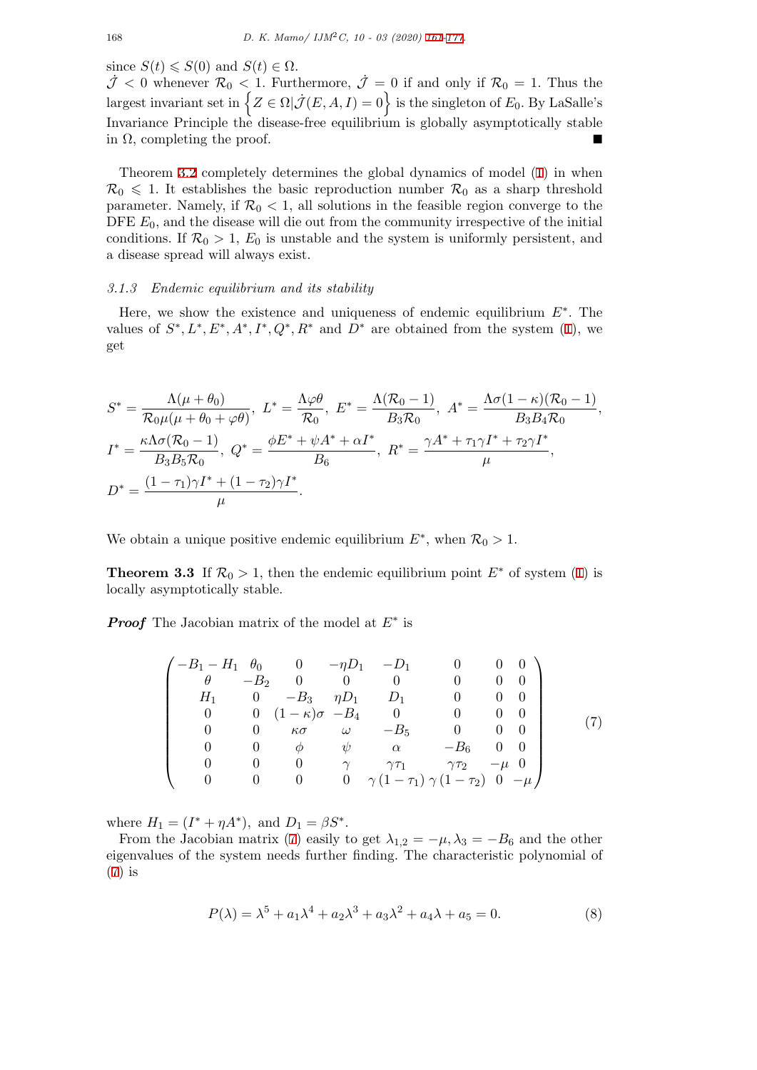since  $S(t) \leqslant S(0)$  and  $S(t) \in \Omega$ .

 $\mathcal{J}$  < 0 whenever  $\mathcal{R}_0$  < 1. Furthermore,  $\mathcal{J} = 0$  if and only if  $\mathcal{R}_0 = 1$ . Thus the largest invariant set in  $\left\{ Z \in \Omega \middle| \dot{\mathcal{J}}(E,A,I) = 0 \right\}$  is th[e si](#page-0-0)[ngle](#page-16-0)ton of  $E_0$ . By LaSalle's Invariance Principle the disease-free equilibrium is globally asymptotically stable in  $\Omega$ , completing the proof.

Theorem 3.2 completely determines the global dynamics of model (1) in when  $\mathcal{R}_0 \leq 1$ . It establishes the basic reproduction number  $\mathcal{R}_0$  as a sharp threshold parameter. Namely, if  $\mathcal{R}_0 < 1$ , all solutions in the feasible region converge to the DFE  $E_0$ , and the disease will die out from the community irrespective of the initial conditions. [If](#page-6-1)  $\mathcal{R}_0 > 1$ ,  $E_0$  is unstable and the system is uniformly per[sis](#page-2-1)tent, and a disease spread will always exist.

## *3.1.3 Endemic equilibrium and its stability*

Here, we show the existence and uniqueness of endemic equilibrium *E∗* . The values of  $S^*, L^*, E^*, A^*, I^*, Q^*, R^*$  and  $D^*$  are obtained from the system (1), we get

$$
S^* = \frac{\Lambda(\mu + \theta_0)}{\mathcal{R}_0 \mu(\mu + \theta_0 + \varphi \theta)}, \ L^* = \frac{\Lambda \varphi \theta}{\mathcal{R}_0}, \ E^* = \frac{\Lambda(\mathcal{R}_0 - 1)}{B_3 \mathcal{R}_0}, \ A^* = \frac{\Lambda \sigma (1 - \kappa)(\mathcal{R}_0 - 1)}{B_3 B_4 \mathcal{R}_0},
$$
  

$$
I^* = \frac{\kappa \Lambda \sigma (\mathcal{R}_0 - 1)}{B_3 B_5 \mathcal{R}_0}, \ Q^* = \frac{\phi E^* + \psi A^* + \alpha I^*}{B_6}, \ R^* = \frac{\gamma A^* + \tau_1 \gamma I^* + \tau_2 \gamma I^*}{\mu},
$$
  

$$
D^* = \frac{(1 - \tau_1)\gamma I^* + (1 - \tau_2)\gamma I^*}{\mu}.
$$

We obtain a unique positive endemic equilibrium  $E^*$ , when  $\mathcal{R}_0 > 1$ .

**Theorem 3.3** If  $\mathcal{R}_0 > 1$ , then the endemic equilibrium point  $E^*$  of system (1) is locally asymptotically stable.

*Proof* The Jacobian matrix of the model at *E∗* is

$$
\begin{pmatrix}\n-B_1 - H_1 & \theta_0 & 0 & -\eta D_1 & -D_1 & 0 & 0 & 0 \\
\theta & -B_2 & 0 & 0 & 0 & 0 & 0 & 0 \\
H_1 & 0 & -B_3 & \eta D_1 & D_1 & 0 & 0 & 0 \\
0 & 0 & (1 - \kappa)\sigma & -B_4 & 0 & 0 & 0 & 0 \\
0 & 0 & \kappa\sigma & \omega & -B_5 & 0 & 0 & 0 \\
0 & 0 & \phi & \psi & \alpha & -B_6 & 0 & 0 \\
0 & 0 & 0 & \gamma & \gamma\tau_1 & \gamma\tau_2 & -\mu & 0 \\
0 & 0 & 0 & 0 & \gamma & (1 - \tau_1) \gamma (1 - \tau_2) & 0 & -\mu\n\end{pmatrix}
$$
\n(7)

where  $H_1 = (I^* + \eta A^*)$ , and  $D_1 = \beta S^*$ .

From the Jacobian matrix (7) easily to get  $\lambda_{1,2} = -\mu$ ,  $\lambda_3 = -B_6$  and the other eigenvalues of the system needs further finding. The characteristic polynomial of (7) is

<span id="page-7-0"></span>
$$
P(\lambda) = \lambda^5 + a_1 \lambda^4 + a_2 \lambda^3 + a_3 \lambda^2 + a_4 \lambda + a_5 = 0.
$$
 (8)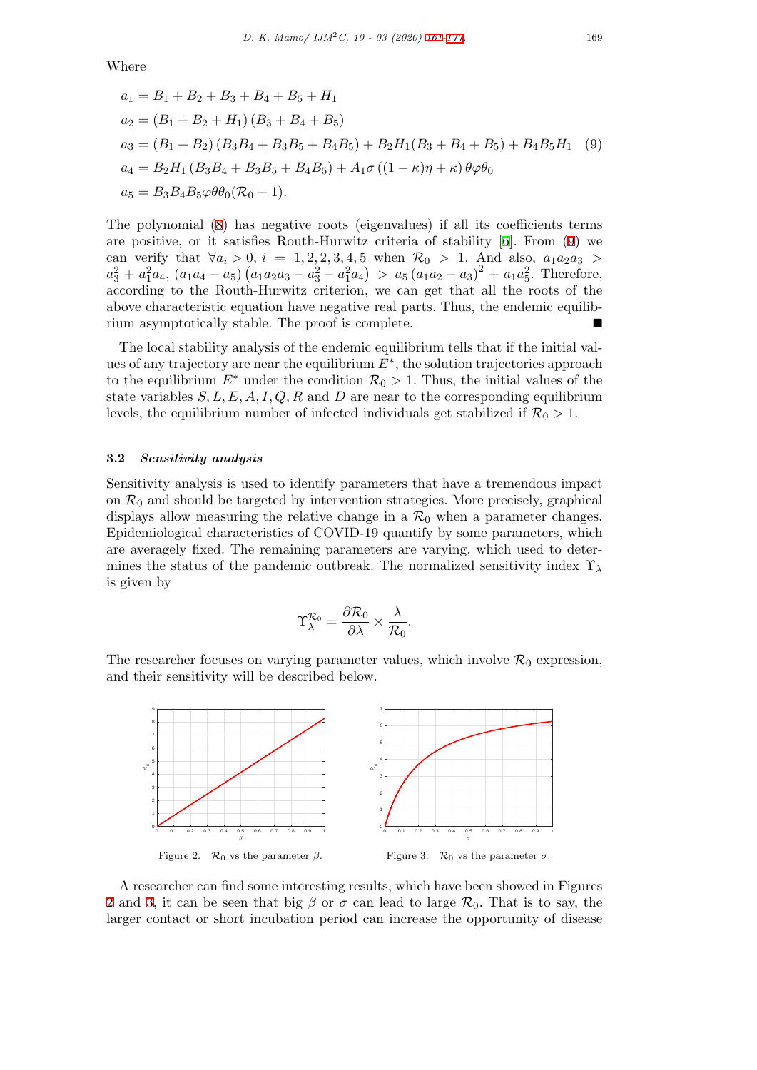Where

<span id="page-8-0"></span>
$$
a_1 = B_1 + B_2 + B_3 + B_4 + B_5 + H_1
$$
  
\n
$$
a_2 = (B_1 + B_2 + H_1)(B_3 + B_4 + B_5)
$$
  
\n
$$
a_3 = (B_1 + B_2)(B_3B_4 + B_3B_5 + B_4B_5) + B_2H_1(B_3 + B_4 + B_5) + B_4B_5H_1
$$
 (9)  
\n
$$
a_4 = B_2H_1(B_3B_4 + B_3B_5 + B_4B_5) + A_1\sigma((1 - \kappa)\eta + \kappa)\theta\varphi\theta_0
$$
  
\n
$$
a_5 = B_3B_4B_5\varphi\theta\theta_0(\mathcal{R}_0 - 1).
$$

The polynomial (8) has negative roots (eigenvalues) if all its coefficients terms are positive, or it satisfies Routh-Hurwitz criteria of stability [6]. From (9) we can verify that  $\forall a_i > 0, i = 1, 2, 2, 3, 4, 5$  when  $\mathcal{R}_0 > 1$ . And also,  $a_1 a_2 a_3 >$  $a_3^2 + a_1^2 a_4$ ,  $(a_1 a_4 - a_5) (a_1 a_2 a_3 - a_3^2 - a_1^2 a_4) > a_5 (a_1 a_2 - a_3)^2 + a_1 a_5^2$ . Therefore, according to the [R](#page-7-0)outh-Hurwitz criterion, we can get that all the roots of the above characteristic equation have negative real parts. Thus, the [en](#page-15-13)demic e[qu](#page-8-0)ilibrium asymptotically stable. The proof is complete.

The local stability analysis of the endemic equilibrium tells that if the initial values of any trajectory are near the equilibrium *E∗* , the solution trajectories approach to the equilibrium  $E^*$  under the condition  $\mathcal{R}_0 > 1$ . Thus, the initial values of the state variables  $S, L, E, A, I, Q, R$  and  $D$  are near to the corresponding equilibrium levels, the equilibrium number of infected individuals get stabilized if  $\mathcal{R}_0 > 1$ .

## **3.2** *Sensitivity analysis*

Sensitivity analysis is used to identify parameters that have a tremendous impact on  $\mathcal{R}_0$  and should be targeted by intervention strategies. More precisely, graphical displays allow measuring the relative change in a  $\mathcal{R}_0$  when a parameter changes. Epidemiological characteristics of COVID-19 quantify by some parameters, which are averagely fixed. The remaining parameters are varying, which used to determines the status of the pandemic outbreak. The normalized sensitivity index Υ*<sup>λ</sup>* is given by

$$
\Upsilon_\lambda^{{\cal R}_0} = \frac{\partial {\cal R}_0}{\partial \lambda} \times \frac{\lambda}{{\cal R}_0}.
$$

The researcher focuses on varying parameter values, which involve  $\mathcal{R}_0$  expression, and their sensitivity will be described below.



A researcher can find some interesting results, which have been showed in Figures 2 and 3, it can be seen that big  $\beta$  or  $\sigma$  can lead to large  $\mathcal{R}_0$ . That is to say, the larger contact or short incubation period can increase the opportunity of disease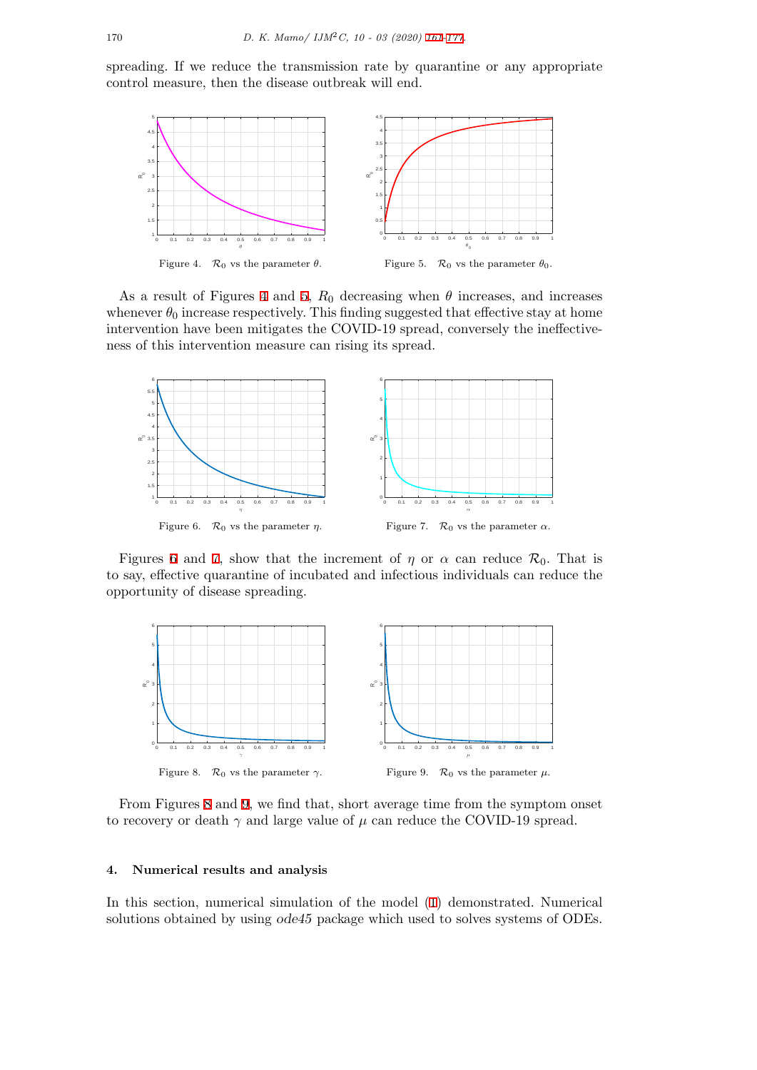spreading. If we reduce the transmission rate by quarantine or any appropriate control measure, then the disease outbreak will end.



As a result of Figures 4 and 5,  $R_0$  decreasing when  $\theta$  increases, and increases whenever  $\theta_0$  increase respectively. This finding suggested that effective stay at home intervention have been mitigates the COVID-19 spread, conversely the ineffectiveness of this intervention measure can rising its spread.



Figures 6 and 7, show that the increment of  $\eta$  or  $\alpha$  can reduce  $\mathcal{R}_0$ . That is to say, effective quarantine of incubated and infectious individuals can reduce the opportunity of disease spreading.

<span id="page-9-1"></span>

From Figures 8 and 9, we find that, short average time from the symptom onset to recovery or death  $\gamma$  and large value of  $\mu$  can reduce the COVID-19 spread.

#### **4. Numerical [re](#page-9-1)sult[s](#page-9-1) and analysis**

<span id="page-9-0"></span>In this section, numerical simulation of the model (1) demonstrated. Numerical solutions obtained by using *ode45* package which used to solves systems of ODEs.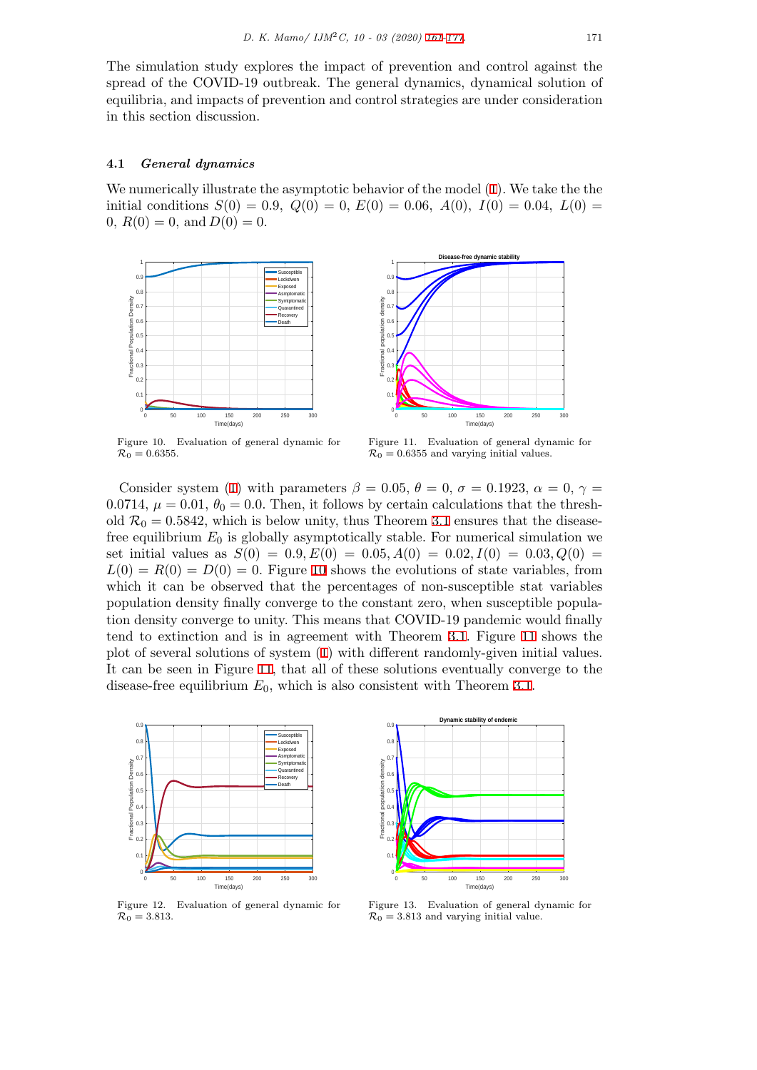The simulation study explores the impact of prevention and control against the spread of the COVID-19 outbreak. The general dynamics, dynamical solution of equilibria, and impacts of prevention and control stra[tegi](#page-0-0)[es a](#page-16-0)re under consideration in this section discussion.

#### **4.1** *General dynamics*

We numerically illustrate the asymptotic behavior of the model (1). We take the the initial conditions  $S(0) = 0.9$ ,  $Q(0) = 0$ ,  $E(0) = 0.06$ ,  $A(0)$ ,  $I(0) = 0.04$ ,  $L(0) =$ 0,  $R(0) = 0$ , and  $D(0) = 0$ .

<span id="page-10-0"></span>



Figure 10. Evaluation of general dynamic for  $\mathcal{R}_0 = 0.6355$ .

Figure 11. Evaluation of general dynamic for  $\mathcal{R}_0 = 0.6355$  and varying initial values.

Consider system (1) with parameters  $\beta = 0.05$ ,  $\theta = 0$ ,  $\sigma = 0.1923$ ,  $\alpha = 0$ ,  $\gamma =$ 0.0714,  $\mu = 0.01, \theta_0 = 0.0$ . Then, it follows by certain calculations that the threshold  $\mathcal{R}_0 = 0.5842$ , which is below unity, thus Theorem 3.1 ensures that the diseasefree equilibrium *E*<sup>0</sup> is globally asymptotically stable. For numerical simulation we set initial values as  $S(0) = 0.9, E(0) = 0.05, A(0) = 0.02, I(0) = 0.03, Q(0) = 0.03$  $S(0) = 0.9, E(0) = 0.05, A(0) = 0.02, I(0) = 0.03, Q(0) = 0.03$  $L(0) = R(0) = D(0) = 0$ . Figure 10 shows the evolutions of state variables, from which it can be observed that the percentages of n[on-s](#page-5-1)usceptible stat variables population density finally converge to the constant zero, when susceptible population density converge to unity. This means that COVID-19 pandemic would finally tend to extinction and is in agr[eem](#page-10-0)ent with Theorem 3.1. Figure 11 shows the plot of several solutions of system (1) with different randomly-given initial values. It can be seen in Figure 11, that all of these solutions eventually converge to the disease-free equilibrium  $E_0$ , which is also consistent with Theorem 3.1.

<span id="page-10-1"></span>

Figure 12. Evaluation of general dynamic for  $\mathcal{R}_0 = 3.813.$ 

Time(days) Figure 13. Evaluation of general dynamic for  $\mathcal{R}_0 = 3.813$  and varying initial value.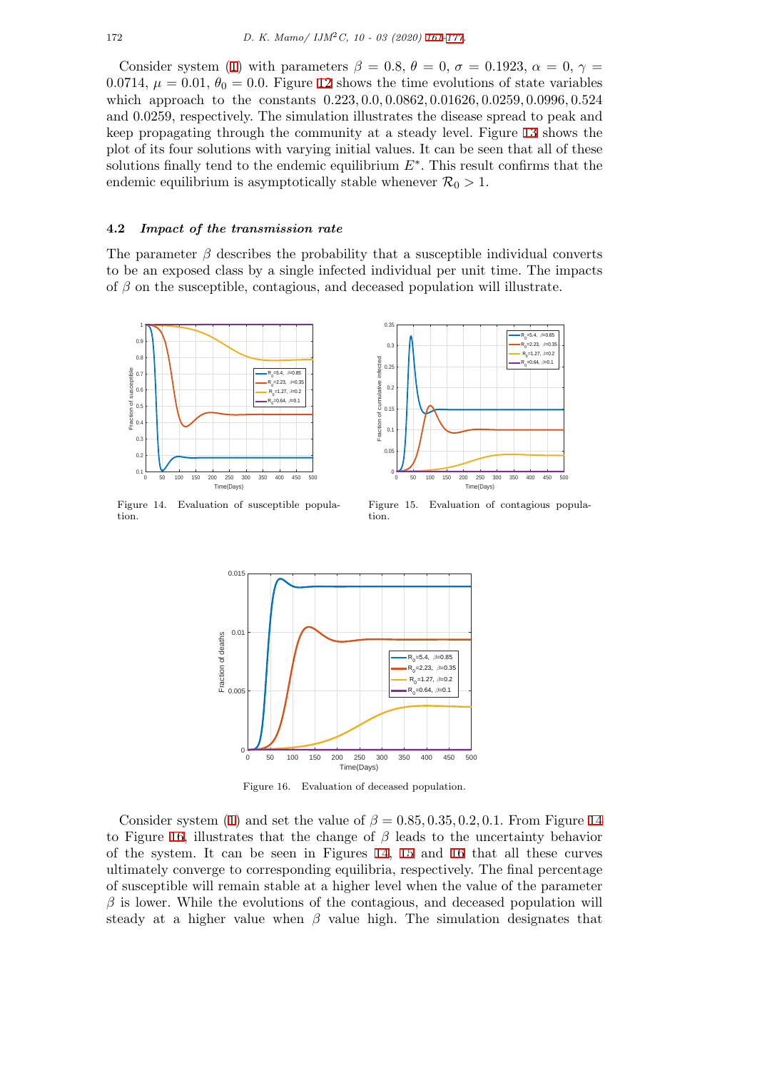Consider system (1) with parameters  $\beta = 0.8, \theta = 0, \sigma = 0.1923, \alpha = 0, \gamma =$ 0.0714,  $\mu = 0.01, \theta_0 = 0.0$ . Figure 12 shows the time evolutions of state variables which approach to the constants 0*.*223*,* 0*.*0*,* 0*.*0862*,* [0](#page-0-0)*.*[0162](#page-16-0)6*,* 0*.*0259*,* 0*.*0996*,* 0*.*524 and 0*.*0259, respectively. The simulation illustrates the disease spread to peak and keep propagating th[ro](#page-2-1)ugh the community at a steady level. Figure 13 shows the plot of its four solutions with varyi[ng](#page-10-1) initial values. It can be seen that all of these solutions finally tend to the endemic equilibrium *E∗* . This result confirms that the endemic equilibrium is asymptotically stable whenever  $\mathcal{R}_0 > 1$ .

### **4.2** *Impact of the transmission rate*

The parameter  $\beta$  describes the probability that a susceptible individual converts to be an exposed class by a single infected individual per unit time. The impacts of *β* on the susceptible, contagious, and deceased population will illustrate.

<span id="page-11-0"></span>

<span id="page-11-1"></span>



Figure 15. Evaluation of contagious population.



Figure 16. Evaluation of deceased population.

Consider system (1) and set the value of  $\beta = 0.85, 0.35, 0.2, 0.1$ . From Figure 14 to Figure 16, illustrates that the change of *β* leads to the uncertainty behavior of the system. It can be seen in Figures 14, 15 and 16 that all these curves ultimately converge to corresponding equilibria, respectively. The final percentage of susceptible will r[em](#page-2-1)ain stable at a higher level when the value of the parame[ter](#page-11-0)  $\beta$  is lower[. W](#page-11-1)hile the evolutions of the contagious, and deceased population will steady at a [high](#page-11-0)er value when  $\beta$  value high. [T](#page-11-0)he si[mu](#page-11-1)lation designates that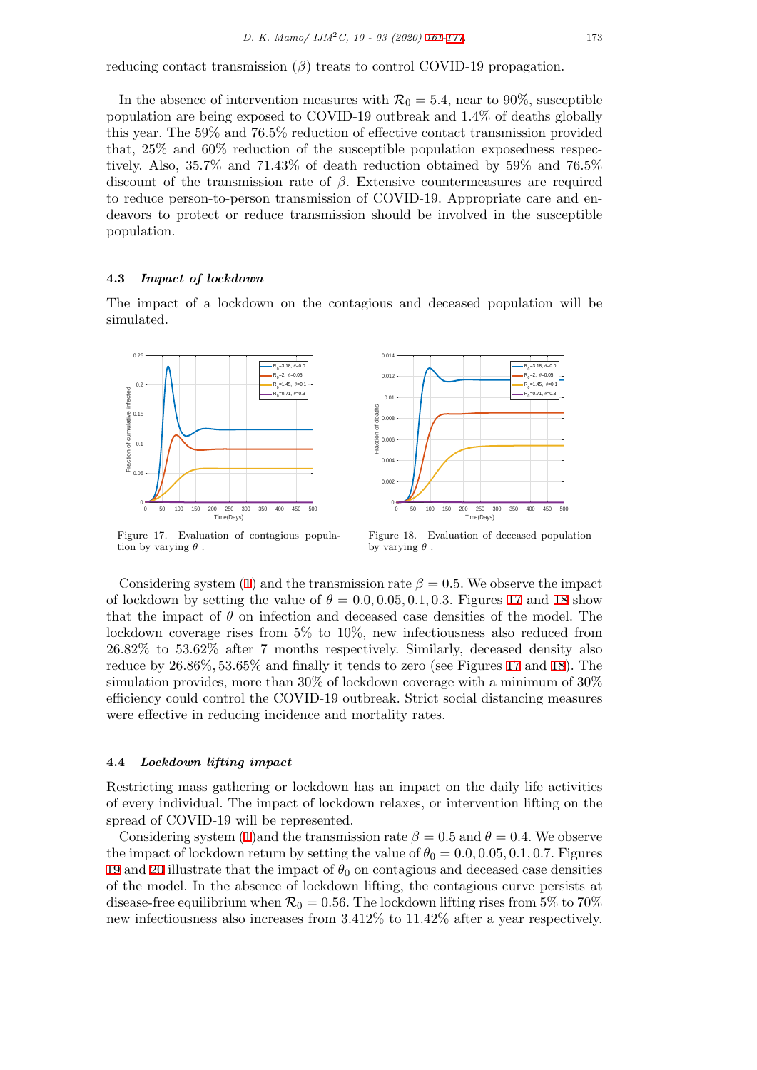reducing contact transmission (*β*) treats to control COVID-19 propagation.

In the absence of intervention measures with  $\mathcal{R}_0 = 5.4$  $\mathcal{R}_0 = 5.4$  $\mathcal{R}_0 = 5.4$ , near to 90%, susceptible population are being exposed to COVID-19 outbreak and 1*.*4% of deaths globally this year. The 59% and 76*.*5% reduction of effective contact transmission provided that, 25% and 60% reduction of the susceptible population exposedness respectively. Also, 35*.*7% and 71*.*43% of death reduction obtained by 59% and 76*.*5% discount of the transmission rate of *β*. Extensive countermeasures are required to reduce person-to-person transmission of COVID-19. Appropriate care and endeavors to protect or reduce transmission should be involved in the susceptible population.

## **4.3** *Impact of lockdown*

The impact of a lockdown on the contagious and deceased population will be simulated.

<span id="page-12-0"></span>

Figure 17. Evaluation of contagious population by varying *θ* .

Figure 18. Evaluation of deceased population by varying *θ* .

Considering system (1) and the transmission rate  $\beta = 0.5$ . We observe the impact of lockdown by setting the value of  $\theta = 0.0, 0.05, 0.1, 0.3$ . Figures 17 and 18 show that the impact of *θ* on infection and deceased case densities of the model. The lockdown coverage rises from 5% to 10%, new infectiousness also reduced from 26*.*82% to 53*.*62% aft[er](#page-2-1) 7 months respectively. Similarly, deceased density also reduce by 26*.*86%*,* 53*.*65% and finally it tends to zero (see Figures [17](#page-12-0) and [18\)](#page-12-0). The simulation provides, more than 30% of lockdown coverage with a minimum of 30% efficiency could control the COVID-19 outbreak. Strict social distancing measures were effective in reducing incidence and mortality rates.

#### **4.4** *Lockdown lifting impact*

Restricting mass gathering or lockdown has an impact on the daily life activities of every individual. The impact of lockdown relaxes, or intervention lifting on the spread of COVID-19 will be represented.

Considering system (1)and the transmission rate  $\beta = 0.5$  and  $\theta = 0.4$ . We observe the impact of lockdown return by setting the value of  $\theta_0 = 0.0, 0.05, 0.1, 0.7$ . Figures 19 and 20 illustrate that the impact of  $\theta_0$  on contagious and deceased case densities of the model. In the absence of lockdown lifting, the contagious curve persists at disease-free equilibriu[m w](#page-2-1)hen  $\mathcal{R}_0 = 0.56$ . The lockdown lifting rises from 5% to 70% new infectiousness also increases from 3*.*412% to 11*.*42% after a year respectively.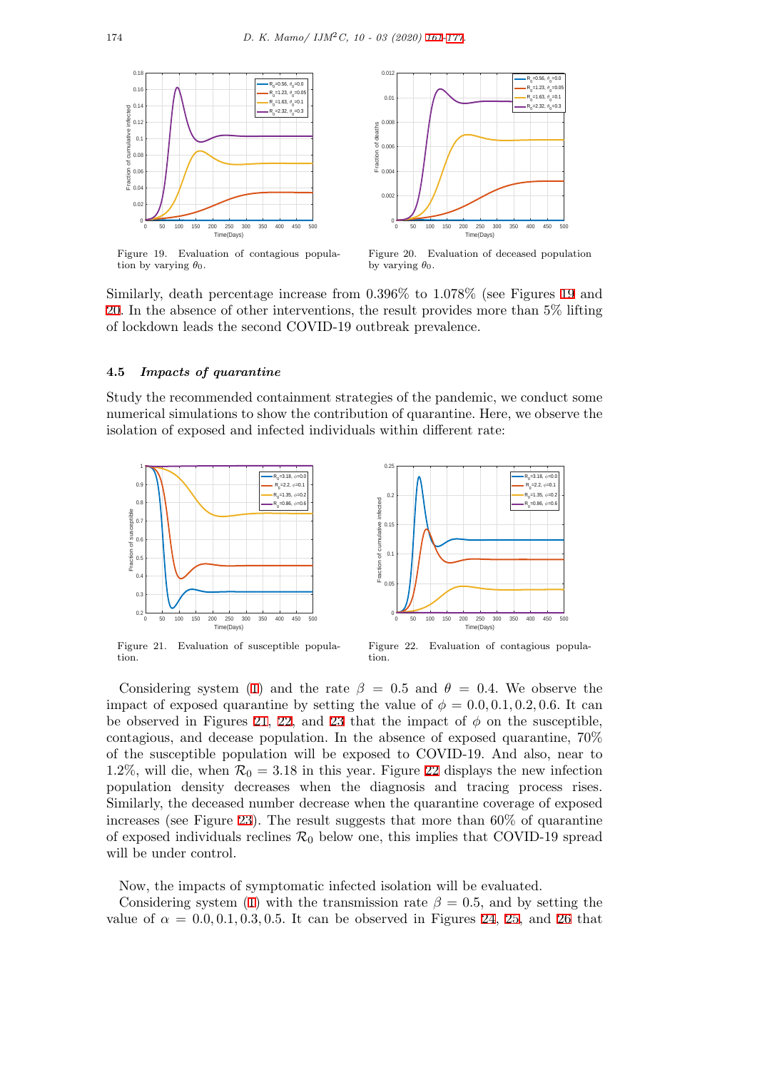<span id="page-13-0"></span>

Figure 19. Evaluation of contagious population by varying  $\theta_0$ .

Figure 20. Evaluation of deceased population by varying  $\theta_0$ .

Similarly, death percentage increase from 0*.*396% to 1*.*078% (see Figures 19 and 20. In the absence of other interventions, the result provides more than 5% lifting of lockdown leads the second COVID-19 outbreak prevalence.

# **[4.5](#page-13-0)** *Impacts of quarantine*

Study the recommended containment strategies of the pandemic, we conduct some numerical simulations to show the contribution of quarantine. Here, we observe the isolation of exposed and infected individuals within different rate:

<span id="page-13-1"></span>

Figure 21. Evaluation of susceptible population.



Considering system (1) and the rate  $\beta = 0.5$  and  $\theta = 0.4$ . We observe the impact of exposed quarantine by setting the value of  $\phi = 0.0, 0.1, 0.2, 0.6$ . It can be observed in Figures 21, 22, and 23 that the impact of  $\phi$  on the susceptible, contagious, and decease population. In the absence of exposed quarantine, 70% of the susceptible pop[ula](#page-2-1)tion will be exposed to COVID-19. And also, near to 1.2%, will die, when  $\mathcal{R}_0 = 3.18$  in this year. Figure 22 displays the new infection population density dec[rea](#page-13-1)s[es](#page-13-1) whe[n t](#page-14-0)he diagnosis and tracing process rises. Similarly, the deceased number decrease when the quarantine coverage of exposed increases (see Figure 23). The result suggests that more than 60% of quarantine of exposed individuals reclines  $\mathcal{R}_0$  below one, this i[mpl](#page-13-1)ies that COVID-19 spread will be under control.

Now, the impacts o[f sy](#page-14-0)mptomatic infected isolation will be evaluated.

Considering system (1) with the transmission rate  $\beta = 0.5$ , and by setting the value of  $\alpha = 0.0, 0.1, 0.3, 0.5$ . It can be observed in Figures 24, 25, and 26 that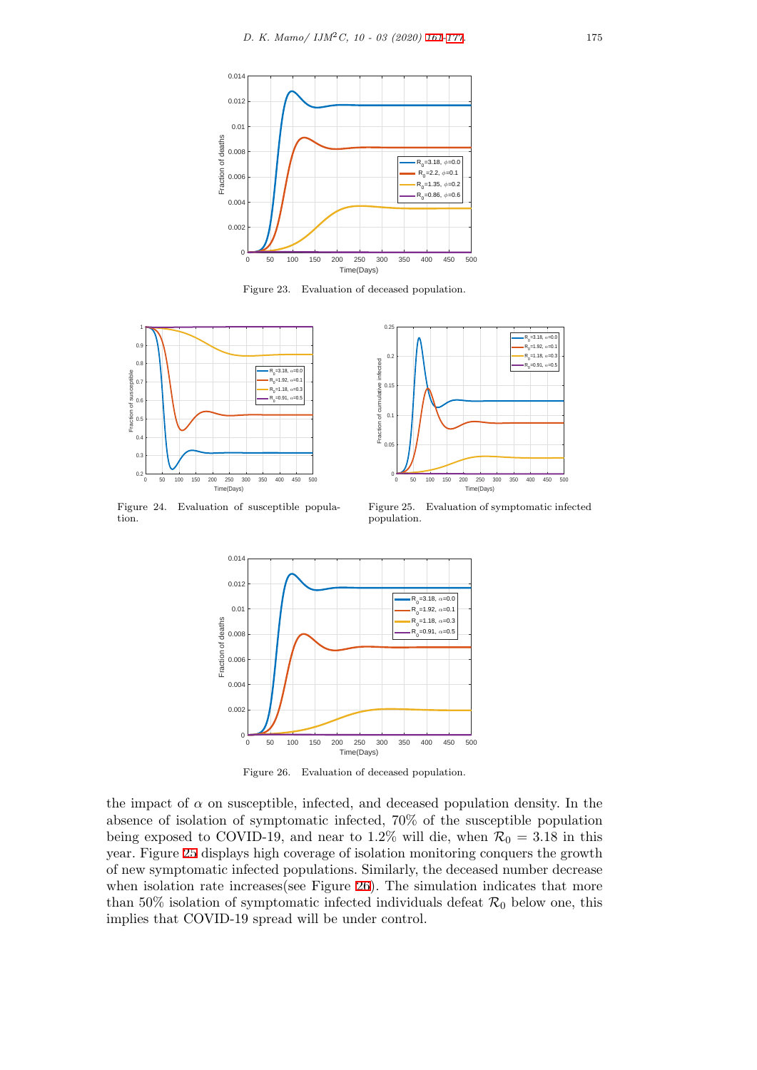<span id="page-14-0"></span>

Figure 23. Evaluation of deceased population.

<span id="page-14-1"></span>

Figure 24. Evaluation of susceptible population.



Figure 25. Evaluation of symptomatic infected population.



Figure 26. Evaluation of deceased population.

the impact of  $\alpha$  on susceptible, infected, and deceased population density. In the absence of isolation of symptomatic infected, 70% of the susceptible population being exposed to COVID-19, and near to 1.2% will die, when  $\mathcal{R}_0 = 3.18$  in this year. Figure 25 displays high coverage of isolation monitoring conquers the growth of new symptomatic infected populations. Similarly, the deceased number decrease when isolation rate increases (see Figure 26). The simulation indicates that more than 50% isolation of symptomatic infected individuals defeat  $\mathcal{R}_0$  below one, this implies that [CO](#page-14-1)VID-19 spread will be under control.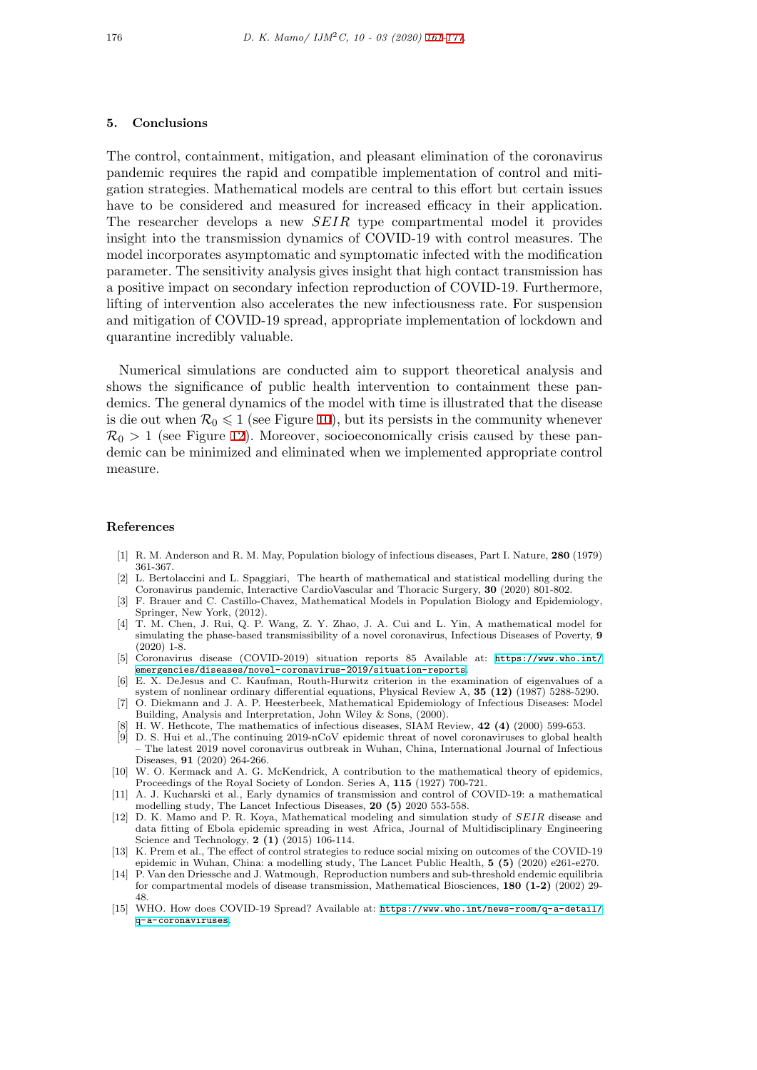#### **5. Conclusions**

<span id="page-15-0"></span>The control, containment, mitigation, and pleasant elimination of the coronavirus pandemic requires the rapid and compatible implementation of control and mitigation strategies. Mathematical models are central to this effort but certain issues have to be considered and measured for increased efficacy in their application. The researcher develops a new *SEIR* type compartmental model it provides insight into the transmission dynamics of COVID-19 with control measures. The model incorporates asymptomatic and symptomatic infected with the modification parameter. The sensitivity analysis gives insight that high contact transmission has a positive impact on secondary infection reproduction of COVID-19. Furthermore, lifting of intervention also accelerates the new infectiousness rate. For suspension and mitigation of COVID-19 spread, appropriate implementation of lockdown and quarantine incredibly valuable.

Numerical simulations are conducted aim to support theoretical analysis and shows the significance of public health intervention to containment these pandemics. The general dynamics of the model with time is illustrated that the disease is die out when  $\mathcal{R}_0 \leq 1$  (see Figure 10), but its persists in the community whenever  $\mathcal{R}_0 > 1$  (see Figure 12). Moreover, socioeconomically crisis caused by these pandemic can be minimized and eliminated when we implemented appropriate control measure.

#### **References**

- [1] R. M. Anderson and R. M. May, Population biology of infectious diseases, Part I. Nature, **280** (1979) 361-367.
- [2] L. Bertolaccini and L. Spaggiari, The hearth of mathematical and statistical modelling during the Coronavirus pandemic, Interactive CardioVascular and Thoracic Surgery, **30** (2020) 801-802.
- [3] F. Brauer and C. Castillo-Chavez, Mathematical Models in Population Biology and Epidemiology, Springer, New York, (2012).
- <span id="page-15-4"></span>[4] T. M. Chen, J. Rui, Q. P. Wang, Z. Y. Zhao, J. A. Cui and L. Yin, A mathematical model for simulating the phase-based transmissibility of a novel coronavirus, Infectious Diseases of Poverty, **9** (2020) 1-8.
- <span id="page-15-5"></span>[5] Coronavirus disease (COVID-2019) situation reports 85 Available at: https://www.who.int/ emergencies/diseases/novel-coronavirus-2019/situation-reports.
- <span id="page-15-9"></span>[6] E. X. DeJesus and C. Kaufman, Routh-Hurwitz criterion in the examination of eigenvalues of a system of nonlinear ordinary differential equations, Physical Review A, **35 (12)** (1987) 5288-5290.
- [7] O. Diekmann and J. A. P. Heesterbeek, Mathematical Epidemiology of Infectious Diseases: Model Building, Analysis and Interpretation, John Wiley & Sons, (2000).
- <span id="page-15-3"></span>[8] H. W. Hethcote, The mathematics of infectious diseases, SIAM Review, **42 (4)** [\(2000\) 599-653.](https://www.who.int/emergencies/diseases/ novel-coronavirus-2019/situation-reports)
- <span id="page-15-13"></span>[9] [D. S. Hui et al.,The continuing 2019-nCoV epidemic threat of novel c](https://www.who.int/emergencies/diseases/ novel-coronavirus-2019/situation-reports)oronaviruses to global health – The latest 2019 novel coronavirus outbreak in Wuhan, China, International Journal of Infectious Diseases, **91** (2020) 264-266.
- <span id="page-15-6"></span>[10] W. O. Kermack and A. G. McKendrick, A contribution to the mathematical theory of epidemics, Proceedings of the Royal Society of London. Series A, **115** (1927) 700-721.
- <span id="page-15-7"></span><span id="page-15-2"></span>[11] A. J. Kucharski et al., Early dynamics of transmission and control of COVID-19: a mathematical modelling study, The Lancet Infectious Diseases, **20 (5)** 2020 553-558.
- <span id="page-15-8"></span>[12] D. K. Mamo and P. R. Koya, Mathematical modeling and simulation study of *SEIR* disease and data fitting of Ebola epidemic spreading in west Africa, Journal of Multidisciplinary Engineering Science and Technology, **2 (1)** (2015) 106-114.
- <span id="page-15-10"></span>[13] K. Prem et al., The effect of control strategies to reduce social mixing on outcomes of the COVID-19 epidemic in Wuhan, China: a modelling study, The Lancet Public Health, **5 (5)** (2020) e261-e270.
- <span id="page-15-12"></span>[14] P. Van den Driessche and J. Watmough, Reproduction numbers and sub-threshold endemic equilibria for compartmental models of disease transmission, Mathematical Biosciences, **180 (1-2)** (2002) 29- 48.
- <span id="page-15-11"></span><span id="page-15-1"></span>[15] WHO. How does COVID-19 Spread? Available at: https://www.who.int/news-room/q-a-detail/ q-a-coronaviruses.